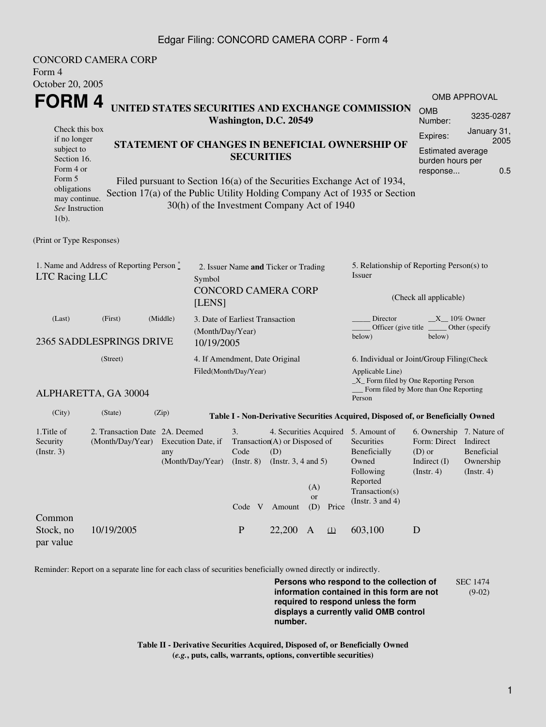## Edgar Filing: CONCORD CAMERA CORP - Form 4

| Form 4<br>October 20, 2005                                                                  | <b>CONCORD CAMERA CORP</b>                         |                                                                                                                        |                                                                                                                                                           |                                                  |                                                 |                                                                                                         |                                                                                                              |                                       |                     |  |
|---------------------------------------------------------------------------------------------|----------------------------------------------------|------------------------------------------------------------------------------------------------------------------------|-----------------------------------------------------------------------------------------------------------------------------------------------------------|--------------------------------------------------|-------------------------------------------------|---------------------------------------------------------------------------------------------------------|--------------------------------------------------------------------------------------------------------------|---------------------------------------|---------------------|--|
| <b>FORM4</b>                                                                                |                                                    |                                                                                                                        |                                                                                                                                                           |                                                  |                                                 |                                                                                                         |                                                                                                              |                                       | <b>OMB APPROVAL</b> |  |
|                                                                                             | Washington, D.C. 20549                             |                                                                                                                        |                                                                                                                                                           | UNITED STATES SECURITIES AND EXCHANGE COMMISSION | <b>OMB</b><br>Number:                           | 3235-0287                                                                                               |                                                                                                              |                                       |                     |  |
| Check this box<br>if no longer<br>subject to<br>Section 16.                                 | <b>SECURITIES</b>                                  |                                                                                                                        |                                                                                                                                                           |                                                  | STATEMENT OF CHANGES IN BENEFICIAL OWNERSHIP OF | Expires:<br><b>Estimated average</b><br>burden hours per                                                | January 31,<br>2005                                                                                          |                                       |                     |  |
| Form 4 or<br>Form 5<br>obligations<br>may continue.<br>See Instruction<br>$1(b)$ .          |                                                    | Filed pursuant to Section 16(a) of the Securities Exchange Act of 1934,<br>30(h) of the Investment Company Act of 1940 |                                                                                                                                                           |                                                  |                                                 |                                                                                                         | Section 17(a) of the Public Utility Holding Company Act of 1935 or Section                                   | response                              | 0.5                 |  |
| (Print or Type Responses)                                                                   |                                                    |                                                                                                                        |                                                                                                                                                           |                                                  |                                                 |                                                                                                         |                                                                                                              |                                       |                     |  |
| 1. Name and Address of Reporting Person $\stackrel{*}{\mathbb{L}}$<br><b>LTC Racing LLC</b> |                                                    |                                                                                                                        | 2. Issuer Name and Ticker or Trading<br>Symbol<br><b>CONCORD CAMERA CORP</b><br>[LENS]                                                                    |                                                  |                                                 |                                                                                                         | 5. Relationship of Reporting Person(s) to<br>Issuer<br>(Check all applicable)                                |                                       |                     |  |
| (Middle)<br>(First)<br>(Last)<br>2365 SADDLESPRINGS DRIVE                                   |                                                    |                                                                                                                        | 3. Date of Earliest Transaction<br>(Month/Day/Year)<br>10/19/2005                                                                                         |                                                  |                                                 |                                                                                                         | Director<br>$X_{10\%}$ Owner<br>Officer (give title<br>_Other (specify<br>below)<br>below)                   |                                       |                     |  |
| (Street)<br>Filed(Month/Day/Year)                                                           |                                                    |                                                                                                                        |                                                                                                                                                           | 4. If Amendment, Date Original                   |                                                 |                                                                                                         | 6. Individual or Joint/Group Filing(Check<br>Applicable Line)<br>$\_X$ Form filed by One Reporting Person    |                                       |                     |  |
|                                                                                             | ALPHARETTA, GA 30004                               |                                                                                                                        |                                                                                                                                                           |                                                  |                                                 |                                                                                                         | Person                                                                                                       | Form filed by More than One Reporting |                     |  |
| (City)                                                                                      | (State)                                            | (Zip)                                                                                                                  |                                                                                                                                                           |                                                  |                                                 |                                                                                                         | Table I - Non-Derivative Securities Acquired, Disposed of, or Beneficially Owned                             |                                       |                     |  |
| 1. Title of<br>Security<br>$($ Instr. 3 $)$                                                 | 2. Transaction Date 2A. Deemed<br>(Month/Day/Year) | Execution Date, if<br>any                                                                                              | 3.<br>4. Securities Acquired 5. Amount of<br>Transaction(A) or Disposed of<br>Code<br>(D)<br>(Month/Day/Year) (Instr. 8) (Instr. 3, 4 and 5)<br>(A)<br>or |                                                  | Price                                           | Securities<br>Beneficially<br>Owned<br>Following<br>Reported<br>Transaction(s)<br>(Instr. $3$ and $4$ ) | 6. Ownership 7. Nature of<br>Form: Direct Indirect<br>$(D)$ or<br>Indirect (I) Ownership<br>$($ Instr. 4 $)$ | <b>Beneficial</b><br>(Insert. 4)      |                     |  |
| Common<br>Stock, no<br>par value                                                            | 10/19/2005                                         |                                                                                                                        | Code V<br>$\mathbf P$                                                                                                                                     | Amount<br>22,200 A                               | (D)                                             | $\Omega$                                                                                                | 603,100                                                                                                      | D                                     |                     |  |

Reminder: Report on a separate line for each class of securities beneficially owned directly or indirectly.

**Persons who respond to the collection of information contained in this form are not required to respond unless the form displays a currently valid OMB control number.** SEC 1474 (9-02)

**Table II - Derivative Securities Acquired, Disposed of, or Beneficially Owned (***e.g.***, puts, calls, warrants, options, convertible securities)**